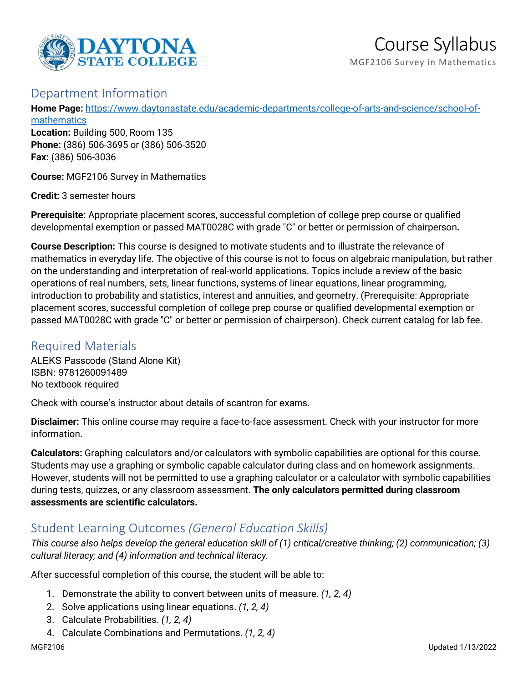

# Course Syllabus

MGF2106 Survey in Mathematics

#### Department Information

**Home Page:** [https://www.daytonastate.edu/academic-departments/college-of-arts-and-science/school-of-](https://www.daytonastate.edu/academic-departments/college-of-arts-and-science/school-of-mathematics)

[mathematics](https://www.daytonastate.edu/academic-departments/college-of-arts-and-science/school-of-mathematics) **Location:** Building 500, Room 135 **Phone:** (386) 506-3695 or (386) 506-3520 **Fax:** (386) 506-3036

**Course:** MGF2106 Survey in Mathematics

**Credit:** 3 semester hours

**Prerequisite:** Appropriate placement scores, successful completion of college prep course or qualified developmental exemption or passed MAT0028C with grade "C" or better or permission of chairperson**.**

**Course Description:** This course is designed to motivate students and to illustrate the relevance of mathematics in everyday life. The objective of this course is not to focus on algebraic manipulation, but rather on the understanding and interpretation of real-world applications. Topics include a review of the basic operations of real numbers, sets, linear functions, systems of linear equations, linear programming, introduction to probability and statistics, interest and annuities, and geometry. (Prerequisite: Appropriate placement scores, successful completion of college prep course or qualified developmental exemption or passed MAT0028C with grade "C" or better or permission of chairperson). Check current catalog for lab fee.

#### Required Materials

ALEKS Passcode (Stand Alone Kit) ISBN: 9781260091489 No textbook required

Check with course's instructor about details of scantron for exams.

**Disclaimer:** This online course may require a face-to-face assessment. Check with your instructor for more information.

**Calculators:** Graphing calculators and/or calculators with symbolic capabilities are optional for this course. Students may use a graphing or symbolic capable calculator during class and on homework assignments. However, students will not be permitted to use a graphing calculator or a calculator with symbolic capabilities during tests, quizzes, or any classroom assessment. **The only calculators permitted during classroom assessments are scientific calculators.**

## Student Learning Outcomes *(General Education Skills)*

*This course also helps develop the general education skill of (1) critical/creative thinking; (2) communication; (3) cultural literacy; and (4) information and technical literacy.*

After successful completion of this course, the student will be able to:

- 1. Demonstrate the ability to convert between units of measure. *(1, 2, 4)*
- 2. Solve applications using linear equations. *(1, 2, 4)*
- 3. Calculate Probabilities. *(1, 2, 4)*
- 4. Calculate Combinations and Permutations. *(1, 2, 4)*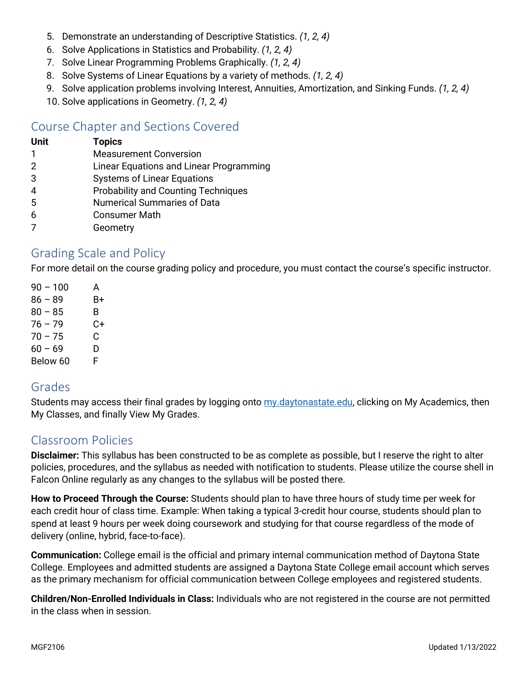- 5. Demonstrate an understanding of Descriptive Statistics. *(1, 2, 4)*
- 6. Solve Applications in Statistics and Probability. *(1, 2, 4)*
- 7. Solve Linear Programming Problems Graphically. *(1, 2, 4)*
- 8. Solve Systems of Linear Equations by a variety of methods. *(1, 2, 4)*
- 9. Solve application problems involving Interest, Annuities, Amortization, and Sinking Funds. *(1, 2, 4)*
- 10. Solve applications in Geometry. *(1, 2, 4)*

## Course Chapter and Sections Covered

# **Unit Topics**

- 1 Measurement Conversion
- 2 Linear Equations and Linear Programming
- 3 Systems of Linear Equations
- 4 Probability and Counting Techniques
- 5 Numerical Summaries of Data
- 6 Consumer Math
- 7 Geometry

## Grading Scale and Policy

For more detail on the course grading policy and procedure, you must contact the course's specific instructor.

| $90 - 100$ | A  |
|------------|----|
| $86 - 89$  | B+ |
| $80 - 85$  | B. |
| 76 – 79    | C+ |
| $70 - 75$  | C. |
| $60 - 69$  | D  |
| Below 60   | F  |

#### Grades

Students may access their final grades by logging onto [my.daytonastate.edu,](https://my.daytonastate.edu/) clicking on My Academics, then My Classes, and finally View My Grades.

## Classroom Policies

**Disclaimer:** This syllabus has been constructed to be as complete as possible, but I reserve the right to alter policies, procedures, and the syllabus as needed with notification to students. Please utilize the course shell in Falcon Online regularly as any changes to the syllabus will be posted there.

**How to Proceed Through the Course:** Students should plan to have three hours of study time per week for each credit hour of class time. Example: When taking a typical 3-credit hour course, students should plan to spend at least 9 hours per week doing coursework and studying for that course regardless of the mode of delivery (online, hybrid, face-to-face).

**Communication:** College email is the official and primary internal communication method of Daytona State College. Employees and admitted students are assigned a Daytona State College email account which serves as the primary mechanism for official communication between College employees and registered students.

**Children/Non-Enrolled Individuals in Class:** Individuals who are not registered in the course are not permitted in the class when in session.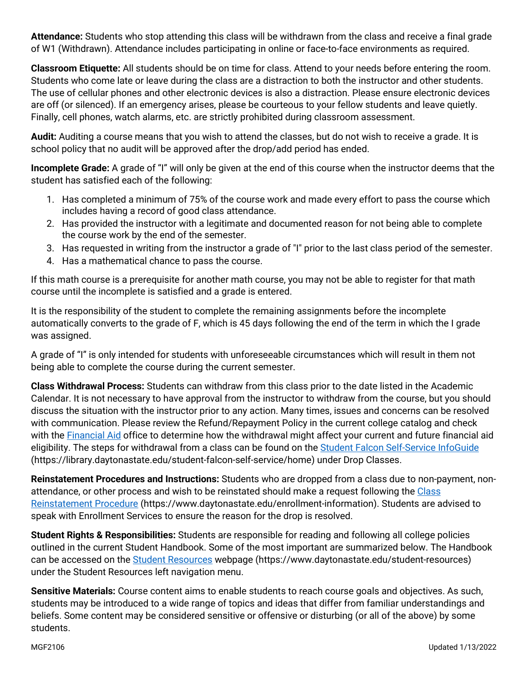**Attendance:** Students who stop attending this class will be withdrawn from the class and receive a final grade of W1 (Withdrawn). Attendance includes participating in online or face-to-face environments as required.

**Classroom Etiquette:** All students should be on time for class. Attend to your needs before entering the room. Students who come late or leave during the class are a distraction to both the instructor and other students. The use of cellular phones and other electronic devices is also a distraction. Please ensure electronic devices are off (or silenced). If an emergency arises, please be courteous to your fellow students and leave quietly. Finally, cell phones, watch alarms, etc. are strictly prohibited during classroom assessment.

**Audit:** Auditing a course means that you wish to attend the classes, but do not wish to receive a grade. It is school policy that no audit will be approved after the drop/add period has ended.

**Incomplete Grade:** A grade of "I" will only be given at the end of this course when the instructor deems that the student has satisfied each of the following:

- 1. Has completed a minimum of 75% of the course work and made every effort to pass the course which includes having a record of good class attendance.
- 2. Has provided the instructor with a legitimate and documented reason for not being able to complete the course work by the end of the semester.
- 3. Has requested in writing from the instructor a grade of "I" prior to the last class period of the semester.
- 4. Has a mathematical chance to pass the course.

If this math course is a prerequisite for another math course, you may not be able to register for that math course until the incomplete is satisfied and a grade is entered.

It is the responsibility of the student to complete the remaining assignments before the incomplete automatically converts to the grade of F, which is 45 days following the end of the term in which the I grade was assigned.

A grade of "I" is only intended for students with unforeseeable circumstances which will result in them not being able to complete the course during the current semester.

**Class Withdrawal Process:** Students can withdraw from this class prior to the date listed in the Academic Calendar. It is not necessary to have approval from the instructor to withdraw from the course, but you should discuss the situation with the instructor prior to any action. Many times, issues and concerns can be resolved with communication. Please review the Refund/Repayment Policy in the current college catalog and check with the **Financial Aid** office to determine how the withdrawal might affect your current and future financial aid eligibility. The steps for withdrawal from a class can be found on the [Student Falcon Self-Service InfoGuide](https://library.daytonastate.edu/student-falcon-self-service/home) (https://library.daytonastate.edu/student-falcon-self-service/home) under Drop Classes.

**Reinstatement Procedures and Instructions:** Students who are dropped from a class due to non-payment, nonattendance, or other process and wish to be reinstated should make a request following the [Class](https://www.daytonastate.edu/enrollment-information/index.html)  [Reinstatement Procedure](https://www.daytonastate.edu/enrollment-information/index.html) (https://www.daytonastate.edu/enrollment-information). Students are advised to speak with Enrollment Services to ensure the reason for the drop is resolved.

**Student Rights & Responsibilities:** Students are responsible for reading and following all college policies outlined in the current Student Handbook. Some of the most important are summarized below. The Handbook can be accessed on the [Student Resources](https://www.daytonastate.edu/student-resources) webpage (https://www.daytonastate.edu/student-resources) under the Student Resources left navigation menu.

**Sensitive Materials:** Course content aims to enable students to reach course goals and objectives. As such, students may be introduced to a wide range of topics and ideas that differ from familiar understandings and beliefs. Some content may be considered sensitive or offensive or disturbing (or all of the above) by some students.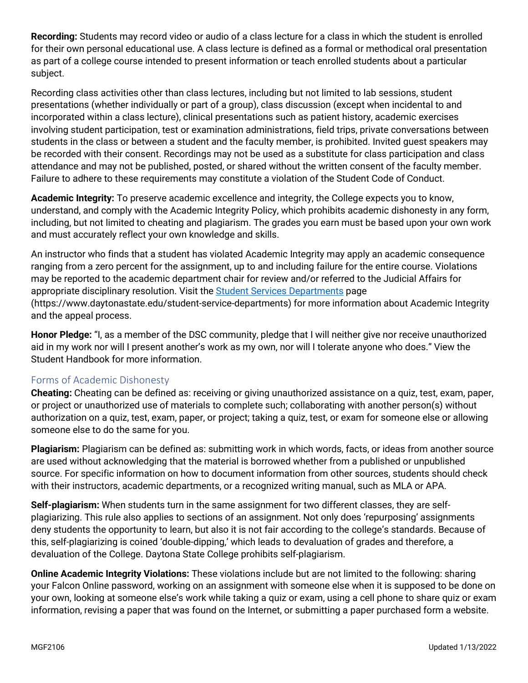**Recording:** Students may record video or audio of a class lecture for a class in which the student is enrolled for their own personal educational use. A class lecture is defined as a formal or methodical oral presentation as part of a college course intended to present information or teach enrolled students about a particular subject.

Recording class activities other than class lectures, including but not limited to lab sessions, student presentations (whether individually or part of a group), class discussion (except when incidental to and incorporated within a class lecture), clinical presentations such as patient history, academic exercises involving student participation, test or examination administrations, field trips, private conversations between students in the class or between a student and the faculty member, is prohibited. Invited guest speakers may be recorded with their consent. Recordings may not be used as a substitute for class participation and class attendance and may not be published, posted, or shared without the written consent of the faculty member. Failure to adhere to these requirements may constitute a violation of the Student Code of Conduct.

**Academic Integrity:** To preserve academic excellence and integrity, the College expects you to know, understand, and comply with the Academic Integrity Policy, which prohibits academic dishonesty in any form, including, but not limited to cheating and plagiarism. The grades you earn must be based upon your own work and must accurately reflect your own knowledge and skills.

An instructor who finds that a student has violated Academic Integrity may apply an academic consequence ranging from a zero percent for the assignment, up to and including failure for the entire course. Violations may be reported to the academic department chair for review and/or referred to the Judicial Affairs for appropriate disciplinary resolution. Visit the [Student Services Departments](https://www.daytonastate.edu/student-service-departments) page (https://www.daytonastate.edu/student-service-departments) for more information about Academic Integrity and the appeal process.

**Honor Pledge:** "I, as a member of the DSC community, pledge that I will neither give nor receive unauthorized aid in my work nor will I present another's work as my own, nor will I tolerate anyone who does." View the Student Handbook for more information.

#### Forms of Academic Dishonesty

**Cheating:** Cheating can be defined as: receiving or giving unauthorized assistance on a quiz, test, exam, paper, or project or unauthorized use of materials to complete such; collaborating with another person(s) without authorization on a quiz, test, exam, paper, or project; taking a quiz, test, or exam for someone else or allowing someone else to do the same for you.

**Plagiarism:** Plagiarism can be defined as: submitting work in which words, facts, or ideas from another source are used without acknowledging that the material is borrowed whether from a published or unpublished source. For specific information on how to document information from other sources, students should check with their instructors, academic departments, or a recognized writing manual, such as MLA or APA.

**Self-plagiarism:** When students turn in the same assignment for two different classes, they are selfplagiarizing. This rule also applies to sections of an assignment. Not only does 'repurposing' assignments deny students the opportunity to learn, but also it is not fair according to the college's standards. Because of this, self-plagiarizing is coined 'double-dipping,' which leads to devaluation of grades and therefore, a devaluation of the College. Daytona State College prohibits self-plagiarism.

**Online Academic Integrity Violations:** These violations include but are not limited to the following: sharing your Falcon Online password, working on an assignment with someone else when it is supposed to be done on your own, looking at someone else's work while taking a quiz or exam, using a cell phone to share quiz or exam information, revising a paper that was found on the Internet, or submitting a paper purchased form a website.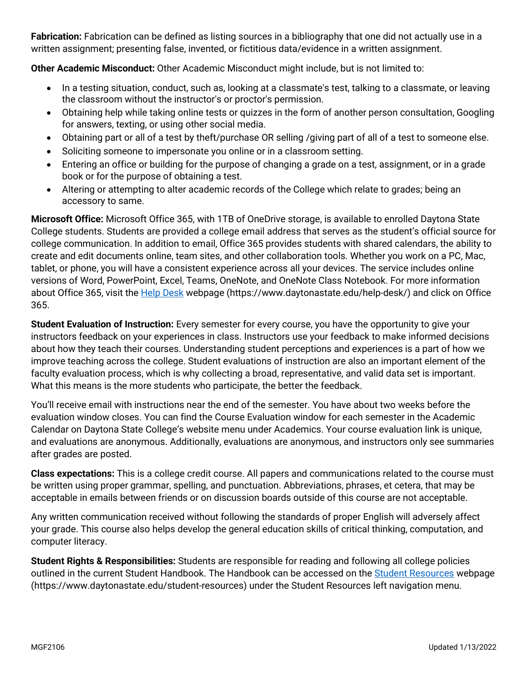**Fabrication:** Fabrication can be defined as listing sources in a bibliography that one did not actually use in a written assignment; presenting false, invented, or fictitious data/evidence in a written assignment.

**Other Academic Misconduct:** Other Academic Misconduct might include, but is not limited to:

- In a testing situation, conduct, such as, looking at a classmate's test, talking to a classmate, or leaving the classroom without the instructor's or proctor's permission.
- Obtaining help while taking online tests or quizzes in the form of another person consultation, Googling for answers, texting, or using other social media.
- Obtaining part or all of a test by theft/purchase OR selling /giving part of all of a test to someone else.
- Soliciting someone to impersonate you online or in a classroom setting.
- Entering an office or building for the purpose of changing a grade on a test, assignment, or in a grade book or for the purpose of obtaining a test.
- Altering or attempting to alter academic records of the College which relate to grades; being an accessory to same.

**Microsoft Office:** Microsoft Office 365, with 1TB of OneDrive storage, is available to enrolled Daytona State College students. Students are provided a college email address that serves as the student's official source for college communication. In addition to email, Office 365 provides students with shared calendars, the ability to create and edit documents online, team sites, and other collaboration tools. Whether you work on a PC, Mac, tablet, or phone, you will have a consistent experience across all your devices. The service includes online versions of Word, PowerPoint, Excel, Teams, OneNote, and OneNote Class Notebook. For more information about Office 365, visit the [Help Desk](https://www.daytonastate.edu/help-desk/) webpage (https://www.daytonastate.edu/help-desk/) and click on Office 365.

**Student Evaluation of Instruction:** Every semester for every course, you have the opportunity to give your instructors feedback on your experiences in class. Instructors use your feedback to make informed decisions about how they teach their courses. Understanding student perceptions and experiences is a part of how we improve teaching across the college. Student evaluations of instruction are also an important element of the faculty evaluation process, which is why collecting a broad, representative, and valid data set is important. What this means is the more students who participate, the better the feedback.

You'll receive email with instructions near the end of the semester. You have about two weeks before the evaluation window closes. You can find the Course Evaluation window for each semester in the Academic Calendar on Daytona State College's website menu under Academics. Your course evaluation link is unique, and evaluations are anonymous. Additionally, evaluations are anonymous, and instructors only see summaries after grades are posted.

**Class expectations:** This is a college credit course. All papers and communications related to the course must be written using proper grammar, spelling, and punctuation. Abbreviations, phrases, et cetera, that may be acceptable in emails between friends or on discussion boards outside of this course are not acceptable.

Any written communication received without following the standards of proper English will adversely affect your grade. This course also helps develop the general education skills of critical thinking, computation, and computer literacy.

**Student Rights & Responsibilities:** Students are responsible for reading and following all college policies outlined in the current Student Handbook. The Handbook can be accessed on the [Student Resources](https://www.daytonastate.edu/student-resources) webpage (https://www.daytonastate.edu/student-resources) under the Student Resources left navigation menu.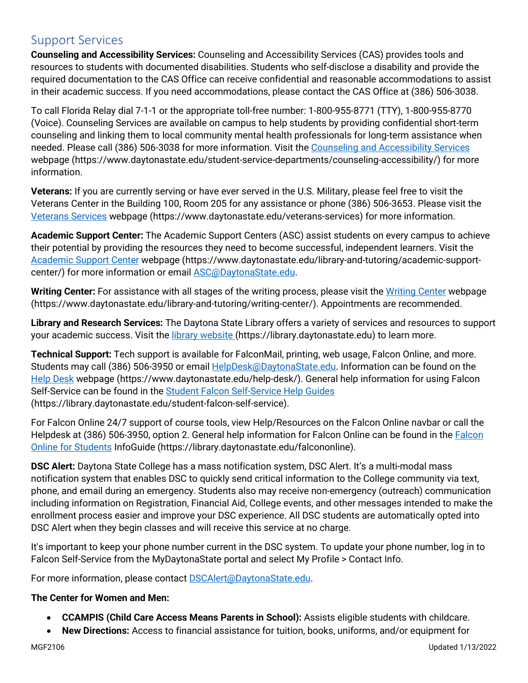## Support Services

**Counseling and Accessibility Services:** Counseling and Accessibility Services (CAS) provides tools and resources to students with documented disabilities. Students who self-disclose a disability and provide the required documentation to the CAS Office can receive confidential and reasonable accommodations to assist in their academic success. If you need accommodations, please contact the CAS Office at (386) 506-3038.

To call Florida Relay dial 7-1-1 or the appropriate toll-free number: 1-800-955-8771 (TTY), 1-800-955-8770 (Voice). Counseling Services are available on campus to help students by providing confidential short-term counseling and linking them to local community mental health professionals for long-term assistance when needed. Please call (386) 506-3038 for more information. Visit the [Counseling and Accessibility Services](https://www.daytonastate.edu/student-service-departments/counseling-accessibility/) webpage (https://www.daytonastate.edu/student-service-departments/counseling-accessibility/) for more information.

**Veterans:** If you are currently serving or have ever served in the U.S. Military, please feel free to visit the Veterans Center in the Building 100, Room 205 for any assistance or phone (386) 506-3653. Please visit the [Veterans Services](https://www.daytonastate.edu/veterans-services) webpage (https://www.daytonastate.edu/veterans-services) for more information.

**Academic Support Center:** The Academic Support Centers (ASC) assist students on every campus to achieve their potential by providing the resources they need to become successful, independent learners. Visit the [Academic Support Center](https://www.daytonastate.edu/library-and-tutoring/academic-support-center/index.html) webpage (https://www.daytonastate.edu/library-and-tutoring/academic-supportcenter/) for more information or email [ASC@DaytonaState.edu.](mailto:ASC@DaytonaState.edu)

**Writing Center:** For assistance with all stages of the writing process, please visit the [Writing Center](https://www.daytonastate.edu/library-and-tutoring/writing-center/) webpage (https://www.daytonastate.edu/library-and-tutoring/writing-center/). Appointments are recommended.

**Library and Research Services:** The Daytona State Library offers a variety of services and resources to support your academic success. Visit the [library website \(](https://library.daytonastate.edu/index)https://library.daytonastate.edu) to learn more.

**Technical Support:** Tech support is available for FalconMail, printing, web usage, Falcon Online, and more. Students may call (386) 506-3950 or email [HelpDesk@DaytonaState.edu.](mailto:HelpDesk@DaytonaState.edu) Information can be found on the [Help Desk](https://www.daytonastate.edu/help-desk/) webpage (https://www.daytonastate.edu/help-desk/). General help information for using Falcon Self-Service can be found in the [Student Falcon Self-Service Help Guides](https://library.daytonastate.edu/student-falcon-self-service) (https://library.daytonastate.edu/student-falcon-self-service).

For Falcon Online 24/7 support of course tools, view Help/Resources on the Falcon Online navbar or call the Helpdesk at (386) 506-3950, option 2. General help information for [Falcon](https://library.daytonastate.edu/falcononline) Online can be found in the Falcon [Online for Students](https://library.daytonastate.edu/falcononline) InfoGuide (https://library.daytonastate.edu/falcononline).

**DSC Alert:** Daytona State College has a mass notification system, DSC Alert. It's a multi-modal mass notification system that enables DSC to quickly send critical information to the College community via text, phone, and email during an emergency. Students also may receive non-emergency (outreach) communication including information on Registration, Financial Aid, College events, and other messages intended to make the enrollment process easier and improve your DSC experience. All DSC students are automatically opted into DSC Alert when they begin classes and will receive this service at no charge.

It's important to keep your phone number current in the DSC system. To update your phone number, log in to Falcon Self-Service from the MyDaytonaState portal and select My Profile > Contact Info.

For more information, please contact **DSCAlert**@DaytonaState.edu.

#### **The Center for Women and Men:**

- **CCAMPIS (Child Care Access Means Parents in School):** Assists eligible students with childcare.
- **New Directions:** Access to financial assistance for tuition, books, uniforms, and/or equipment for